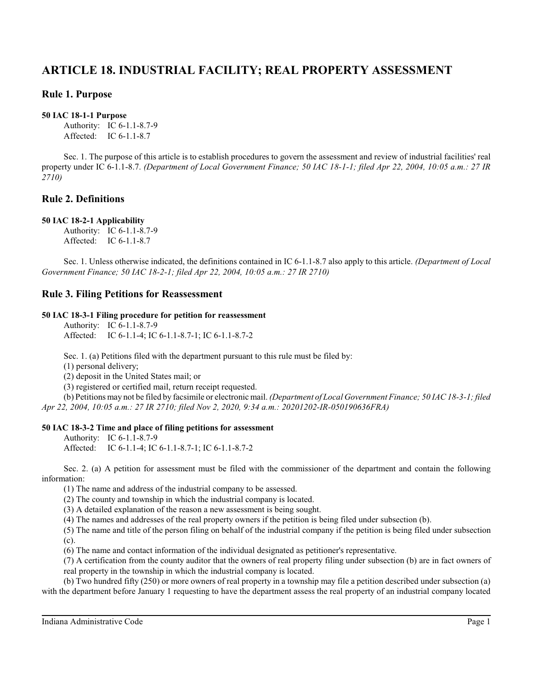# **ARTICLE 18. INDUSTRIAL FACILITY; REAL PROPERTY ASSESSMENT**

# **Rule 1. Purpose**

### **50 IAC 18-1-1 Purpose**

Authority: IC 6-1.1-8.7-9 Affected: IC 6-1.1-8.7

Sec. 1. The purpose of this article is to establish procedures to govern the assessment and review of industrial facilities' real property under IC 6-1.1-8.7. *(Department of Local Government Finance; 50 IAC 18-1-1; filed Apr 22, 2004, 10:05 a.m.: 27 IR 2710)*

# **Rule 2. Definitions**

### **50 IAC 18-2-1 Applicability**

Authority: IC 6-1.1-8.7-9 Affected: IC 6-1.1-8.7

Sec. 1. Unless otherwise indicated, the definitions contained in IC 6-1.1-8.7 also apply to this article. *(Department of Local Government Finance; 50 IAC 18-2-1; filed Apr 22, 2004, 10:05 a.m.: 27 IR 2710)*

# **Rule 3. Filing Petitions for Reassessment**

### **50 IAC 18-3-1 Filing procedure for petition for reassessment**

Authority: IC 6-1.1-8.7-9 Affected: IC 6-1.1-4; IC 6-1.1-8.7-1; IC 6-1.1-8.7-2

Sec. 1. (a) Petitions filed with the department pursuant to this rule must be filed by:

(1) personal delivery;

(2) deposit in the United States mail; or

(3) registered or certified mail, return receipt requested.

(b) Petitions may not be filed by facsimile or electronic mail. *(Department of Local Government Finance; 50 IAC 18-3-1; filed Apr 22, 2004, 10:05 a.m.: 27 IR 2710; filed Nov 2, 2020, 9:34 a.m.: 20201202-IR-050190636FRA)*

### **50 IAC 18-3-2 Time and place of filing petitions for assessment**

Authority: IC 6-1.1-8.7-9 Affected: IC 6-1.1-4; IC 6-1.1-8.7-1; IC 6-1.1-8.7-2

Sec. 2. (a) A petition for assessment must be filed with the commissioner of the department and contain the following information:

(1) The name and address of the industrial company to be assessed.

(2) The county and township in which the industrial company is located.

(3) A detailed explanation of the reason a new assessment is being sought.

(4) The names and addresses of the real property owners if the petition is being filed under subsection (b).

(5) The name and title of the person filing on behalf of the industrial company if the petition is being filed under subsection (c).

(6) The name and contact information of the individual designated as petitioner's representative.

(7) A certification from the county auditor that the owners of real property filing under subsection (b) are in fact owners of real property in the township in which the industrial company is located.

(b) Two hundred fifty (250) or more owners of real property in a township may file a petition described under subsection (a) with the department before January 1 requesting to have the department assess the real property of an industrial company located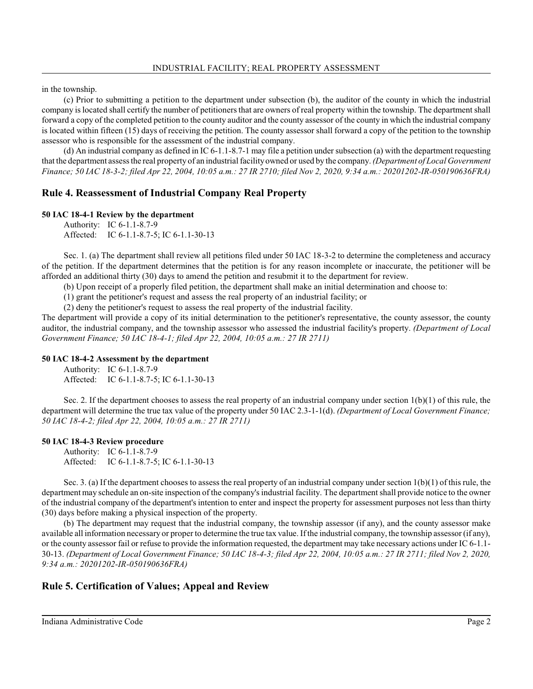in the township.

(c) Prior to submitting a petition to the department under subsection (b), the auditor of the county in which the industrial company is located shall certify the number of petitioners that are owners of real property within the township. The department shall forward a copy of the completed petition to the county auditor and the county assessor of the county in which the industrial company is located within fifteen (15) days of receiving the petition. The county assessor shall forward a copy of the petition to the township assessor who is responsible for the assessment of the industrial company.

(d) An industrial company as defined in IC 6-1.1-8.7-1 may file a petition under subsection (a) with the department requesting that the department assessthe real property of an industrial facilityowned or used by the company. *(Department of Local Government Finance; 50 IAC 18-3-2; filed Apr 22, 2004, 10:05 a.m.: 27 IR 2710; filed Nov 2, 2020, 9:34 a.m.: 20201202-IR-050190636FRA)*

### **Rule 4. Reassessment of Industrial Company Real Property**

#### **50 IAC 18-4-1 Review by the department**

Authority: IC 6-1.1-8.7-9 Affected: IC 6-1.1-8.7-5; IC 6-1.1-30-13

Sec. 1. (a) The department shall review all petitions filed under 50 IAC 18-3-2 to determine the completeness and accuracy of the petition. If the department determines that the petition is for any reason incomplete or inaccurate, the petitioner will be afforded an additional thirty (30) days to amend the petition and resubmit it to the department for review.

(b) Upon receipt of a properly filed petition, the department shall make an initial determination and choose to:

(1) grant the petitioner's request and assess the real property of an industrial facility; or

(2) deny the petitioner's request to assess the real property of the industrial facility.

The department will provide a copy of its initial determination to the petitioner's representative, the county assessor, the county auditor, the industrial company, and the township assessor who assessed the industrial facility's property. *(Department of Local Government Finance; 50 IAC 18-4-1; filed Apr 22, 2004, 10:05 a.m.: 27 IR 2711)*

#### **50 IAC 18-4-2 Assessment by the department**

Authority: IC 6-1.1-8.7-9 Affected: IC 6-1.1-8.7-5; IC 6-1.1-30-13

Sec. 2. If the department chooses to assess the real property of an industrial company under section  $1(b)(1)$  of this rule, the department will determine the true tax value of the property under 50 IAC 2.3-1-1(d). *(Department of Local Government Finance; 50 IAC 18-4-2; filed Apr 22, 2004, 10:05 a.m.: 27 IR 2711)*

#### **50 IAC 18-4-3 Review procedure**

Authority: IC 6-1.1-8.7-9 Affected: IC 6-1.1-8.7-5; IC 6-1.1-30-13

Sec. 3. (a) If the department chooses to assess the real property of an industrial company under section  $1(b)(1)$  of this rule, the department may schedule an on-site inspection of the company's industrial facility. The department shall provide notice to the owner of the industrial company of the department's intention to enter and inspect the property for assessment purposes not less than thirty (30) days before making a physical inspection of the property.

(b) The department may request that the industrial company, the township assessor (if any), and the county assessor make available all information necessary or proper to determine the true tax value. If the industrial company, the township assessor (if any), or the county assessor fail or refuse to provide the information requested, the department may take necessary actions under IC 6-1.1- 30-13. *(Department of Local Government Finance; 50 IAC 18-4-3; filed Apr 22, 2004, 10:05 a.m.: 27 IR 2711; filed Nov 2, 2020, 9:34 a.m.: 20201202-IR-050190636FRA)*

# **Rule 5. Certification of Values; Appeal and Review**